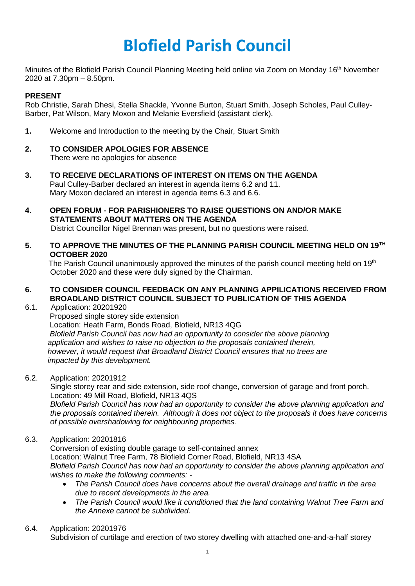# **Blofield Parish Council**

Minutes of the Blofield Parish Council Planning Meeting held online via Zoom on Monday 16<sup>th</sup> November 2020 at 7.30pm – 8.50pm.

#### **PRESENT**

Rob Christie, Sarah Dhesi, Stella Shackle, Yvonne Burton, Stuart Smith, Joseph Scholes, Paul Culley-Barber, Pat Wilson, Mary Moxon and Melanie Eversfield (assistant clerk).

- **1.** Welcome and Introduction to the meeting by the Chair, Stuart Smith
- **2. TO CONSIDER APOLOGIES FOR ABSENCE** There were no apologies for absence
- **3. TO RECEIVE DECLARATIONS OF INTEREST ON ITEMS ON THE AGENDA** Paul Culley-Barber declared an interest in agenda items 6.2 and 11. Mary Moxon declared an interest in agenda items 6.3 and 6.6.
- **4. OPEN FORUM - FOR PARISHIONERS TO RAISE QUESTIONS ON AND/OR MAKE STATEMENTS ABOUT MATTERS ON THE AGENDA**  District Councillor Nigel Brennan was present, but no questions were raised.
- **5. TO APPROVE THE MINUTES OF THE PLANNING PARISH COUNCIL MEETING HELD ON 19TH OCTOBER 2020**

The Parish Council unanimously approved the minutes of the parish council meeting held on  $19<sup>th</sup>$ October 2020 and these were duly signed by the Chairman.

## **6. TO CONSIDER COUNCIL FEEDBACK ON ANY PLANNING APPILICATIONS RECEIVED FROM BROADLAND DISTRICT COUNCIL SUBJECT TO PUBLICATION OF THIS AGENDA**

6.1. Application: 20201920 Proposed single storey side extension Location: Heath Farm, Bonds Road, Blofield, NR13 4QG *Blofield Parish Council has now had an opportunity to consider the above planning application and wishes to raise no objection to the proposals contained therein, however, it would request that Broadland District Council ensures that no trees are impacted by this development.* 

6.2. Application: 20201912

Single storey rear and side extension, side roof change, conversion of garage and front porch. Location: 49 Mill Road, Blofield, NR13 4QS *Blofield Parish Council has now had an opportunity to consider the above planning application and the proposals contained therein. Although it does not object to the proposals it does have concerns of possible overshadowing for neighbouring properties.* 

#### 6.3. Application: 20201816

Conversion of existing double garage to self-contained annex Location: Walnut Tree Farm, 78 Blofield Corner Road, Blofield, NR13 4SA *Blofield Parish Council has now had an opportunity to consider the above planning application and wishes to make the following comments: -*

- *The Parish Council does have concerns about the overall drainage and traffic in the area due to recent developments in the area.*
- *The Parish Council would like it conditioned that the land containing Walnut Tree Farm and the Annexe cannot be subdivided.*

6.4. Application: 20201976

Subdivision of curtilage and erection of two storey dwelling with attached one-and-a-half storey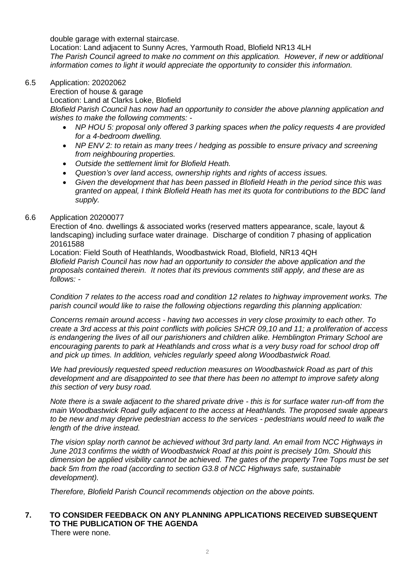double garage with external staircase.

Location: Land adjacent to Sunny Acres, Yarmouth Road, Blofield NR13 4LH *The Parish Council agreed to make no comment on this application. However, if new or additional information comes to light it would appreciate the opportunity to consider this information.* 

#### 6.5 Application: 20202062

Erection of house & garage

Location: Land at Clarks Loke, Blofield

*Blofield Parish Council has now had an opportunity to consider the above planning application and wishes to make the following comments: -*

- *NP HOU 5: proposal only offered 3 parking spaces when the policy requests 4 are provided for a 4-bedroom dwelling.*
- *NP ENV 2: to retain as many trees / hedging as possible to ensure privacy and screening from neighbouring properties.*
- *Outside the settlement limit for Blofield Heath.*
- *Question's over land access, ownership rights and rights of access issues.*
- *Given the development that has been passed in Blofield Heath in the period since this was granted on appeal, I think Blofield Heath has met its quota for contributions to the BDC land supply.*

#### 6.6 Application 20200077

Erection of 4no. dwellings & associated works (reserved matters appearance, scale, layout & landscaping) including surface water drainage. Discharge of condition 7 phasing of application 20161588

Location: Field South of Heathlands, Woodbastwick Road, Blofield, NR13 4QH  *Blofield Parish Council has now had an opportunity to consider the above application and the proposals contained therein. It notes that its previous comments still apply, and these are as follows: -*

*Condition 7 relates to the access road and condition 12 relates to highway improvement works. The parish council would like to raise the following objections regarding this planning application:* 

*Concerns remain around access - having two accesses in very close proximity to each other. To create a 3rd access at this point conflicts with policies SHCR 09,10 and 11; a proliferation of access is endangering the lives of all our parishioners and children alike. Hemblington Primary School are encouraging parents to park at Heathlands and cross what is a very busy road for school drop off and pick up times. In addition, vehicles regularly speed along Woodbastwick Road.*

*We had previously requested speed reduction measures on Woodbastwick Road as part of this development and are disappointed to see that there has been no attempt to improve safety along this section of very busy road.*

*Note there is a swale adjacent to the shared private drive - this is for surface water run-off from the main Woodbastwick Road gully adjacent to the access at Heathlands. The proposed swale appears to be new and may deprive pedestrian access to the services - pedestrians would need to walk the length of the drive instead.*

*The vision splay north cannot be achieved without 3rd party land. An email from NCC Highways in June 2013 confirms the width of Woodbastwick Road at this point is precisely 10m. Should this dimension be applied visibility cannot be achieved. The gates of the property Tree Tops must be set back 5m from the road (according to section G3.8 of NCC Highways safe, sustainable development).*

*Therefore, Blofield Parish Council recommends objection on the above points.*

# **7. TO CONSIDER FEEDBACK ON ANY PLANNING APPLICATIONS RECEIVED SUBSEQUENT TO THE PUBLICATION OF THE AGENDA**

There were none.